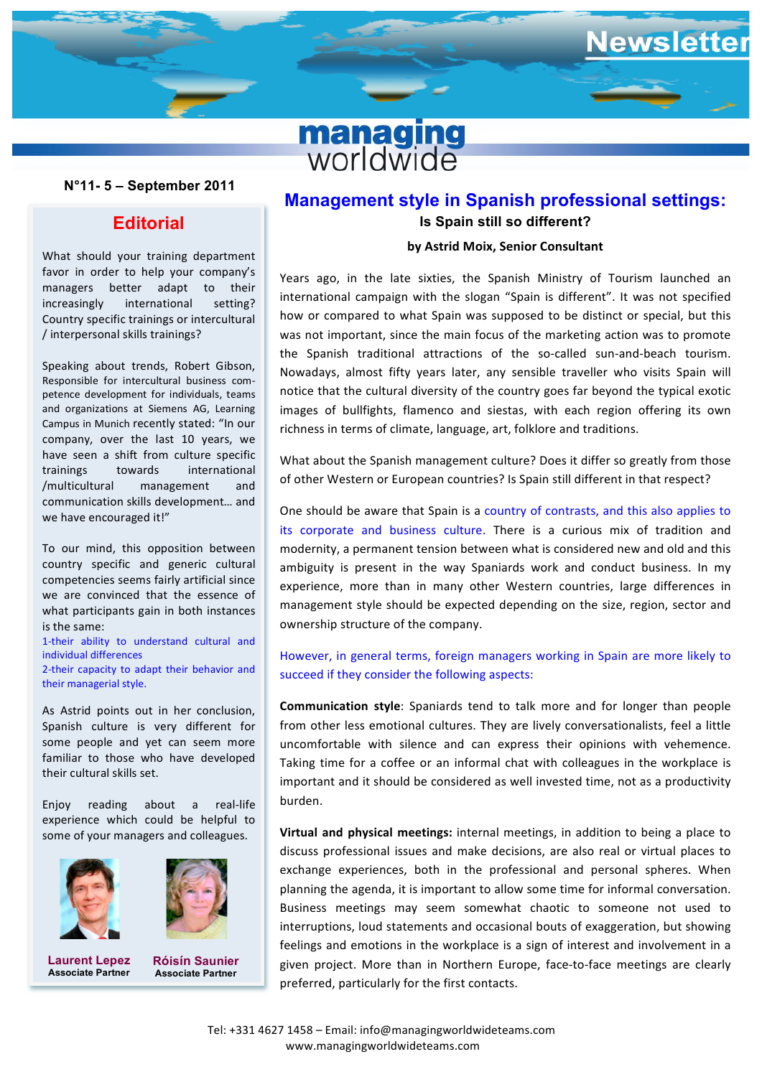

#### **N°11- 5 – September 2011**

## **Editorial**

What should your training department favor in order to help your company's managers better adapt to their increasingly international setting? Country specific trainings or intercultural / interpersonal skills trainings?

Speaking about trends, Robert Gibson, petence development for individuals, teams Responsible for intercultural business comand organizations at Siemens AG, Learning Campus in Munich recently stated: "In our company, over the last 10 years, we have seen a shift from culture specific trainings towards international /multicultural management and communication skills development... and we have encouraged it!"

To our mind, this opposition between country specific and generic cultural competencies seems fairly artificial since we are convinced that the essence of what participants gain in both instances is the same:

1-their ability to understand cultural and individual differences 2-their capacity to adapt their behavior and

their managerial style. As Astrid points out in her conclusion,

Spanish culture is very different for some people and yet can seem more familiar to those who have developed their cultural skills set.

Enjoy reading about a real-life experience which could be helpful to some of your managers and colleagues.





**Laurent Lepez Associate Partner**

**Róisín Saunier Associate Partner**

# **Management style in Spanish professional settings: Is Spain still so different?**

ewsletter

#### **by Astrid Moix, Senior Consultant**

**and** the international campaign with the slogant spain is amerent in this not specified<br>and thow or compared to what Spain was supposed to be distinct or special, but this Munich recently stated: "In our complicions in terms of climate, language, art, folklore and traditions.<br>Pover the last 10 years, we Years ago, in the late sixties, the Spanish Ministry of Tourism launched an international campaign with the slogan "Spain is different". It was not specified was not important, since the main focus of the marketing action was to promote the Spanish traditional attractions of the so-called sun-and-beach tourism. Nowadays, almost fifty years later, any sensible traveller who visits Spain will notice that the cultural diversity of the country goes far beyond the typical exotic images of bullfights, flamenco and siestas, with each region offering its own

> of other Western or European countries? Is Spain still different in that respect? What about the Spanish management culture? Does it differ so greatly from those

> One should be aware that Spain is a country of contrasts, and this also applies to its corporate and business culture. There is a curious mix of tradition and modernity, a permanent tension between what is considered new and old and this ambiguity is present in the way Spaniards work and conduct business. In my experience, more than in many other Western countries, large differences in management style should be expected depending on the size, region, sector and  $\alpha$  company. ownership structure of the company.

#### However, in general terms, foreign managers working in Spain are more likely to succeed if they consider the following aspects:

**Communication style**: Spaniards tend to talk more and for longer than people from other less emotional cultures. They are lively conversationalists, feel a little uncomfortable with silence and can express their opinions with vehemence. Taking time for a coffee or an informal chat with colleagues in the workplace is important and it should be considered as well invested time, not as a productivity burden. 

**Virtual and physical meetings:** internal meetings, in addition to being a place to discuss professional issues and make decisions, are also real or virtual places to exchange experiences, both in the professional and personal spheres. When planning the agenda, it is important to allow some time for informal conversation. Business meetings may seem somewhat chaotic to someone not used to interruptions, loud statements and occasional bouts of exaggeration, but showing feelings and emotions in the workplace is a sign of interest and involvement in a given project. More than in Northern Europe, face-to-face meetings are clearly preferred, particularly for the first contacts.